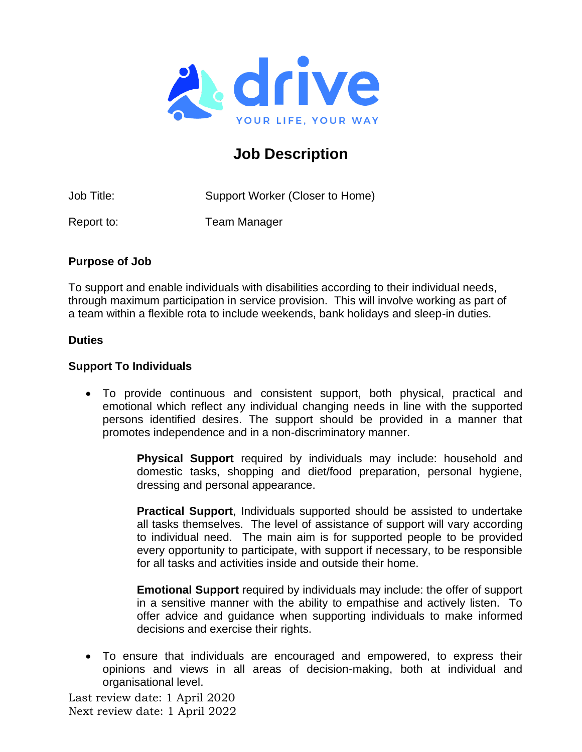

# **Job Description**

Job Title: Support Worker (Closer to Home)

Report to: Team Manager

## **Purpose of Job**

To support and enable individuals with disabilities according to their individual needs, through maximum participation in service provision. This will involve working as part of a team within a flexible rota to include weekends, bank holidays and sleep-in duties.

## **Duties**

## **Support To Individuals**

• To provide continuous and consistent support, both physical, practical and emotional which reflect any individual changing needs in line with the supported persons identified desires. The support should be provided in a manner that promotes independence and in a non-discriminatory manner.

> **Physical Support** required by individuals may include: household and domestic tasks, shopping and diet/food preparation, personal hygiene, dressing and personal appearance.

> **Practical Support**, Individuals supported should be assisted to undertake all tasks themselves. The level of assistance of support will vary according to individual need. The main aim is for supported people to be provided every opportunity to participate, with support if necessary, to be responsible for all tasks and activities inside and outside their home.

> **Emotional Support** required by individuals may include: the offer of support in a sensitive manner with the ability to empathise and actively listen. To offer advice and guidance when supporting individuals to make informed decisions and exercise their rights.

• To ensure that individuals are encouraged and empowered, to express their opinions and views in all areas of decision-making, both at individual and organisational level.

Last review date: 1 April 2020 Next review date: 1 April 2022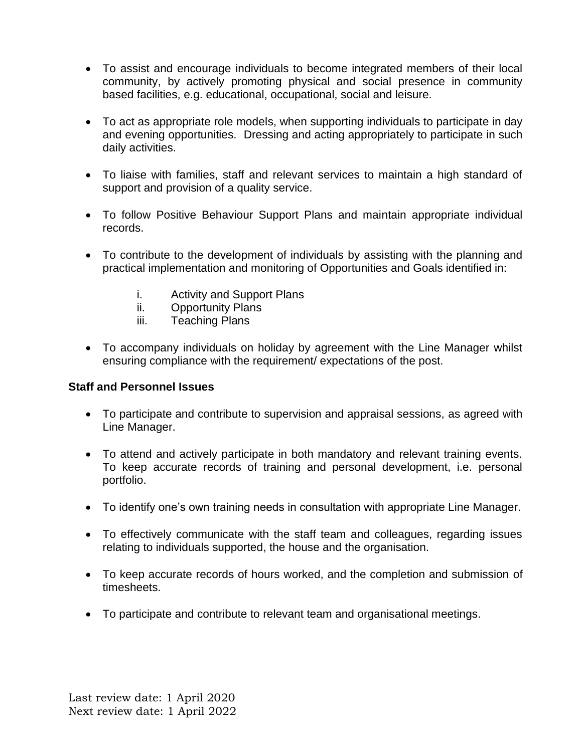- To assist and encourage individuals to become integrated members of their local community, by actively promoting physical and social presence in community based facilities, e.g. educational, occupational, social and leisure.
- To act as appropriate role models, when supporting individuals to participate in day and evening opportunities. Dressing and acting appropriately to participate in such daily activities.
- To liaise with families, staff and relevant services to maintain a high standard of support and provision of a quality service.
- To follow Positive Behaviour Support Plans and maintain appropriate individual records.
- To contribute to the development of individuals by assisting with the planning and practical implementation and monitoring of Opportunities and Goals identified in:
	- i. Activity and Support Plans
	- ii. Opportunity Plans
	- iii. Teaching Plans
- To accompany individuals on holiday by agreement with the Line Manager whilst ensuring compliance with the requirement/ expectations of the post.

#### **Staff and Personnel Issues**

- To participate and contribute to supervision and appraisal sessions, as agreed with Line Manager.
- To attend and actively participate in both mandatory and relevant training events. To keep accurate records of training and personal development, i.e. personal portfolio.
- To identify one's own training needs in consultation with appropriate Line Manager.
- To effectively communicate with the staff team and colleagues, regarding issues relating to individuals supported, the house and the organisation.
- To keep accurate records of hours worked, and the completion and submission of timesheets.
- To participate and contribute to relevant team and organisational meetings.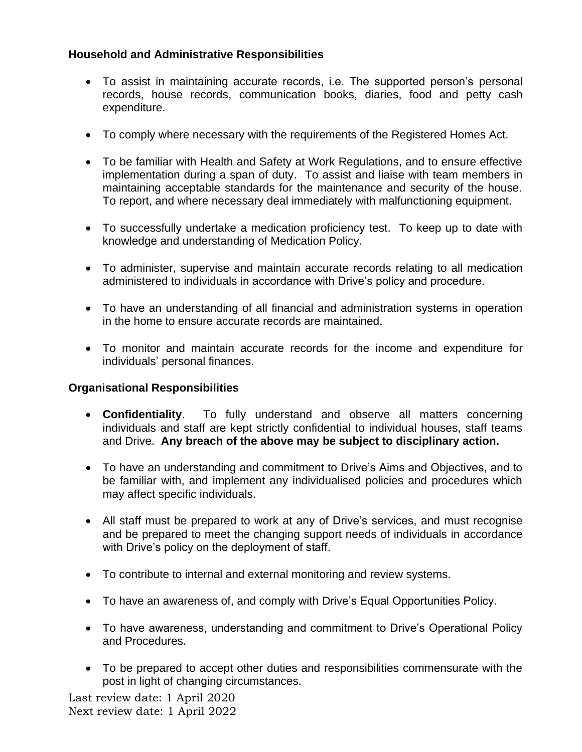## **Household and Administrative Responsibilities**

- To assist in maintaining accurate records, i.e. The supported person's personal records, house records, communication books, diaries, food and petty cash expenditure.
- To comply where necessary with the requirements of the Registered Homes Act.
- To be familiar with Health and Safety at Work Regulations, and to ensure effective implementation during a span of duty. To assist and liaise with team members in maintaining acceptable standards for the maintenance and security of the house. To report, and where necessary deal immediately with malfunctioning equipment.
- To successfully undertake a medication proficiency test. To keep up to date with knowledge and understanding of Medication Policy.
- To administer, supervise and maintain accurate records relating to all medication administered to individuals in accordance with Drive's policy and procedure.
- To have an understanding of all financial and administration systems in operation in the home to ensure accurate records are maintained.
- To monitor and maintain accurate records for the income and expenditure for individuals' personal finances.

#### **Organisational Responsibilities**

- **Confidentiality**. To fully understand and observe all matters concerning individuals and staff are kept strictly confidential to individual houses, staff teams and Drive. **Any breach of the above may be subject to disciplinary action.**
- To have an understanding and commitment to Drive's Aims and Objectives, and to be familiar with, and implement any individualised policies and procedures which may affect specific individuals.
- All staff must be prepared to work at any of Drive's services, and must recognise and be prepared to meet the changing support needs of individuals in accordance with Drive's policy on the deployment of staff.
- To contribute to internal and external monitoring and review systems.
- To have an awareness of, and comply with Drive's Equal Opportunities Policy.
- To have awareness, understanding and commitment to Drive's Operational Policy and Procedures.
- To be prepared to accept other duties and responsibilities commensurate with the post in light of changing circumstances.

Last review date: 1 April 2020 Next review date: 1 April 2022